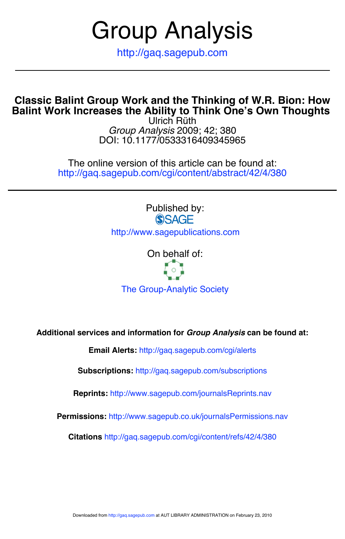# Group Analysis

http://gaq.sagepub.com

Ulrich Rüth **Balint Work Increases the Ability to Think One's Own Thoughts Classic Balint Group Work and the Thinking of W.R. Bion: How**

DOI: 10.1177/0533316409345965 *Group Analysis* 2009; 42; 380

http://gaq.sagepub.com/cgi/content/abstract/42/4/380 The online version of this article can be found at:

> Published by:<br>
> SAGE http://www.sagepublications.com

> > On behalf of:



[The Group-Analytic Society](http://www.groupanalyticsociety.co.uk)

**Additional services and information for** *Group Analysis* **can be found at:**

**Email Alerts:** <http://gaq.sagepub.com/cgi/alerts>

**Subscriptions:** <http://gaq.sagepub.com/subscriptions>

**Reprints:** <http://www.sagepub.com/journalsReprints.nav>

**Permissions:** <http://www.sagepub.co.uk/journalsPermissions.nav>

**Citations** <http://gaq.sagepub.com/cgi/content/refs/42/4/380>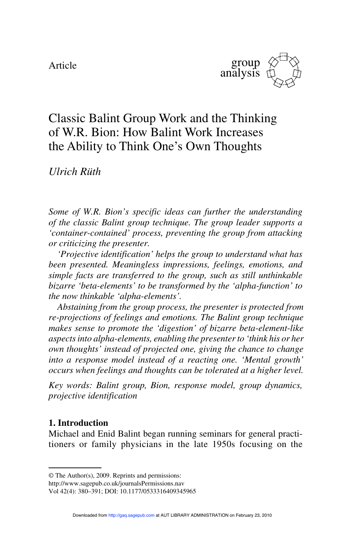### Article



## Classic Balint Group Work and the Thinking of W.R. Bion: How Balint Work Increases the Ability to Think One's Own Thoughts

*Ulrich Rüth*

*Some of W.R. Bion's specific ideas can further the understanding of the classic Balint group technique. The group leader supports a 'container-contained' process, preventing the group from attacking or criticizing the presenter.*

*'Projective identification' helps the group to understand what has been presented. Meaningless impressions, feelings, emotions, and simple facts are transferred to the group, such as still unthinkable bizarre 'beta-elements' to be transformed by the 'alpha- function' to the now thinkable 'alpha-elements'.*

*Abstaining from the group process, the presenter is protected from re-projections of feelings and emotions. The Balint group technique makes sense to promote the 'digestion' of bizarre beta-element-like aspects into alpha-elements, enabling the presenter to 'think his or her own thoughts' instead of projected one, giving the chance to change into a response model instead of a reacting one. ' Mental growth' occurs when feelings and thoughts can be tolerated at a higher level.*

*Key words: Balint group, Bion, response model, group dynamics, projective identification*

#### **1. Introduction**

Michael and Enid Balint began running seminars for general practitioners or family physicians in the late 1950s focusing on the

http://www.sagepub.co.uk/journalsPermissions.nav

Vol 42(4): 380–391; DOI: 10.1177/0533316409345965

<sup>©</sup> The Author(s), 2009. Reprints and permissions: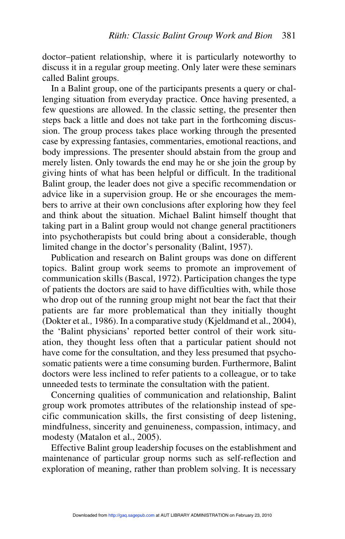doctor–patient relationship, where it is particularly noteworthy to discuss it in a regular group meeting. Only later were these seminars called Balint groups.

In a Balint group, one of the participants presents a query or challenging situation from everyday practice. Once having presented, a few questions are allowed. In the classic setting, the presenter then steps back a little and does not take part in the forthcoming discussion. The group process takes place working through the presented case by expressing fantasies, commentaries, emotional reactions, and body impressions. The presenter should abstain from the group and merely listen. Only towards the end may he or she join the group by giving hints of what has been helpful or difficult. In the traditional Balint group, the leader does not give a specific recommendation or advice like in a supervision group. He or she encourages the members to arrive at their own conclusions after exploring how they feel and think about the situation. Michael Balint himself thought that taking part in a Balint group would not change general practitioners into psychotherapists but could bring about a considerable, though limited change in the doctor's personality (Balint, 1957).

Publication and research on Balint groups was done on different topics. Balint group work seems to promote an improvement of communication skills (Bascal, 1972). Participation changes the type of patients the doctors are said to have difficulties with, while those who drop out of the running group might not bear the fact that their patients are far more problematical than they initially thought ( Dokter et al*.,* 1986). In a comparative study (Kjeldmand et al., 2004), the 'Balint physicians' reported better control of their work situation, they thought less often that a particular patient should not have come for the consultation, and they less presumed that psychosomatic patients were a time consuming burden. Furthermore, Balint doctors were less inclined to refer patients to a colleague, or to take unneeded tests to terminate the consultation with the patient.

Concerning qualities of communication and relationship, Balint group work promotes attributes of the relationship instead of specific communication skills, the first consisting of deep listening, mindfulness, sincerity and genuineness, compassion, intimacy, and modesty (Matalon et al., 2005).

Effective Balint group leadership focuses on the establishment and maintenance of particular group norms such as self-reflection and exploration of meaning, rather than problem solving. It is necessary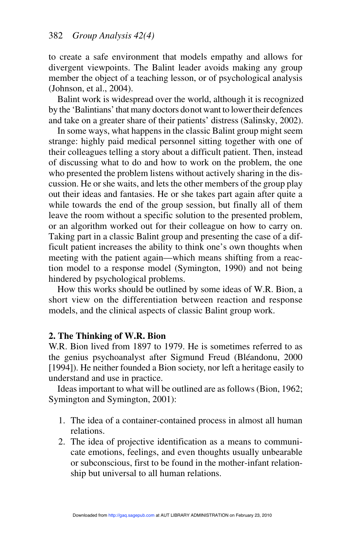to create a safe environment that models empathy and allows for divergent viewpoints. The Balint leader avoids making any group member the object of a teaching lesson, or of psychological analysis (Johnson, et al., 2004).

Balint work is widespread over the world, although it is recognized by the 'Balintians' that many doctors do not want to lower their defences and take on a greater share of their patients' distress ( Salinsky, 2002).

In some ways, what happens in the classic Balint group might seem strange: highly paid medical personnel sitting together with one of their colleagues telling a story about a difficult patient. Then, instead of discussing what to do and how to work on the problem, the one who presented the problem listens without actively sharing in the discussion. He or she waits, and lets the other members of the group play out their ideas and fantasies. He or she takes part again after quite a while towards the end of the group session, but finally all of them leave the room without a specific solution to the presented problem, or an algorithm worked out for their colleague on how to carry on. Taking part in a classic Balint group and presenting the case of a difficult patient increases the ability to think one's own thoughts when meeting with the patient again—which means shifting from a reaction model to a response model (Symington, 1990) and not being hindered by psychological problems.

How this works should be outlined by some ideas of W.R. Bion, a short view on the differentiation between reaction and response models, and the clinical aspects of classic Balint group work.

#### **2. The Thinking of W.R. Bion**

W.R. Bion lived from 1897 to 1979. He is sometimes referred to as the genius psychoanalyst after Sigmund Freud (Bléandonu, 2000 [1994]). He neither founded a Bion society, nor left a heritage easily to understand and use in practice.

Ideas important to what will be outlined are as follows (Bion, 1962; Symington and Symington, 2001):

- 1. The idea of a container-contained process in almost all human relations.
- 2. The idea of projective identification as a means to communicate emotions, feelings, and even thoughts usually unbearable or subconscious, first to be found in the mother-infant relationship but universal to all human relations.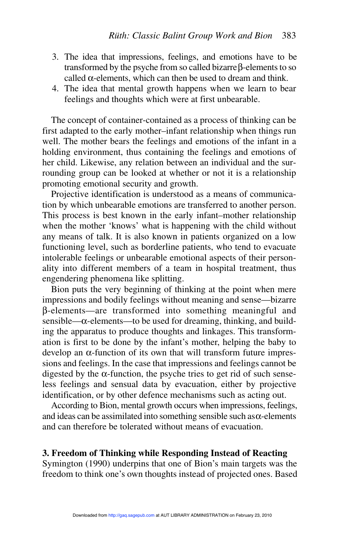- 3. The idea that impressions, feelings, and emotions have to be transformed by the psyche from so called bizarre β-elements to so called  $\alpha$ -elements, which can then be used to dream and think.
- 4. The idea that mental growth happens when we learn to bear feelings and thoughts which were at first unbearable.

The concept of container-contained as a process of thinking can be first adapted to the early mother–infant relationship when things run well. The mother bears the feelings and emotions of the infant in a holding environment, thus containing the feelings and emotions of her child. Likewise, any relation between an individual and the surrounding group can be looked at whether or not it is a relationship promoting emotional security and growth.

Projective identification is understood as a means of communication by which unbearable emotions are transferred to another person. This process is best known in the early infant–mother relationship when the mother 'knows' what is happening with the child without any means of talk. It is also known in patients organized on a low functioning level, such as borderline patients, who tend to evacuate intolerable feelings or unbearable emotional aspects of their personality into different members of a team in hospital treatment, thus engendering phenomena like splitting.

Bion puts the very beginning of thinking at the point when mere impressions and bodily feelings without meaning and sense— bizarre β-elements—are transformed into something meaningful and sensible— $\alpha$ -elements—to be used for dreaming, thinking, and building the apparatus to produce thoughts and linkages. This transformation is first to be done by the infant's mother, helping the baby to develop an  $\alpha$ -function of its own that will transform future impressions and feelings. In the case that impressions and feelings cannot be digested by the  $\alpha$ -function, the psyche tries to get rid of such senseless feelings and sensual data by evacuation, either by projective identification, or by other defence mechanisms such as acting out.

According to Bion, mental growth occurs when impressions, feelings, and ideas can be assimilated into something sensible such as  $\alpha$ -elements and can therefore be tolerated without means of evacuation.

#### **3. Freedom of Thinking while Responding Instead of Reacting**

Symington (1990) underpins that one of Bion's main targets was the freedom to think one's own thoughts instead of projected ones. Based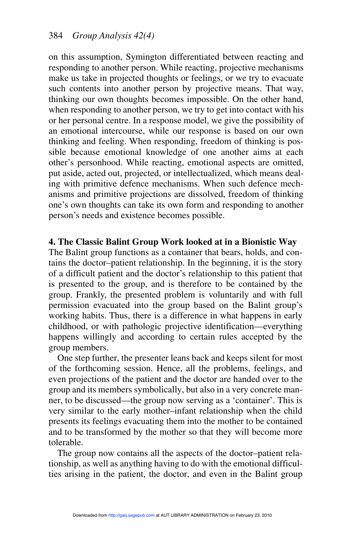on this assumption, Symington differentiated between reacting and responding to another person. While reacting, projective mechanisms make us take in projected thoughts or feelings, or we try to evacuate such contents into another person by projective means. That way, thinking our own thoughts becomes impossible. On the other hand, when responding to another person, we try to get into contact with his or her personal centre. In a response model, we give the possibility of an emotional intercourse, while our response is based on our own thinking and feeling. When responding, freedom of thinking is possible because emotional knowledge of one another aims at each other's personhood. While reacting, emotional aspects are omitted, put aside, acted out, projected, or intellectualized, which means dealing with primitive defence mechanisms. When such defence mechanisms and primitive projections are dissolved, freedom of thinking one's own thoughts can take its own form and responding to another person's needs and existence becomes possible.

#### **4. The Classic Balint Group Work looked at in a Bionistic Way**

The Balint group functions as a container that bears, holds, and contains the doctor–patient relationship. In the beginning, it is the story of a difficult patient and the doctor's relationship to this patient that is presented to the group, and is therefore to be contained by the group. Frankly, the presented problem is voluntarily and with full permission evacuated into the group based on the Balint group's working habits. Thus, there is a difference in what happens in early childhood, or with pathologic projective identification—everything happens willingly and according to certain rules accepted by the group members.

One step further, the presenter leans back and keeps silent for most of the forthcoming session. Hence, all the problems, feelings, and even projections of the patient and the doctor are handed over to the group and its members symbolically, but also in a very concrete manner, to be discussed—the group now serving as a 'container'. This is very similar to the early mother–infant relationship when the child presents its feelings evacuating them into the mother to be contained and to be transformed by the mother so that they will become more tolerable.

The group now contains all the aspects of the doctor–patient relationship, as well as anything having to do with the emotional difficulties arising in the patient, the doctor, and even in the Balint group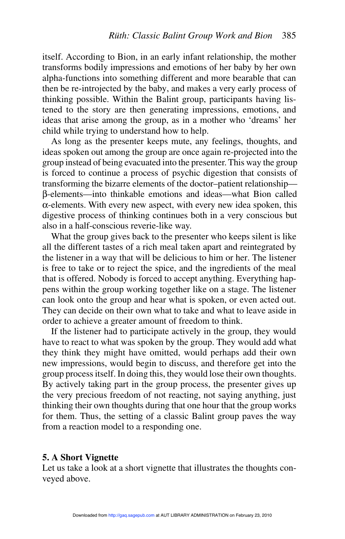itself. According to Bion, in an early infant relationship, the mother transforms bodily impressions and emotions of her baby by her own alpha-functions into something different and more bearable that can then be re-introjected by the baby, and makes a very early process of thinking possible. Within the Balint group, participants having listened to the story are then generating impressions, emotions, and ideas that arise among the group, as in a mother who 'dreams' her child while trying to understand how to help.

As long as the presenter keeps mute, any feelings, thoughts, and ideas spoken out among the group are once again re-projected into the group instead of being evacuated into the presenter. This way the group is forced to continue a process of psychic digestion that consists of transforming the bizarre elements of the doctor–patient relationship β-elements—into thinkable emotions and ideas—what Bion called  $\alpha$ -elements. With every new aspect, with every new idea spoken, this digestive process of thinking continues both in a very conscious but also in a half-conscious reverie-like way.

What the group gives back to the presenter who keeps silent is like all the different tastes of a rich meal taken apart and reintegrated by the listener in a way that will be delicious to him or her. The listener is free to take or to reject the spice, and the ingredients of the meal that is offered. Nobody is forced to accept anything. Everything happens within the group working together like on a stage. The listener can look onto the group and hear what is spoken, or even acted out. They can decide on their own what to take and what to leave aside in order to achieve a greater amount of freedom to think.

If the listener had to participate actively in the group, they would have to react to what was spoken by the group. They would add what they think they might have omitted, would perhaps add their own new impressions, would begin to discuss, and therefore get into the group process itself. In doing this, they would lose their own thoughts. By actively taking part in the group process, the presenter gives up the very precious freedom of not reacting, not saying anything, just thinking their own thoughts during that one hour that the group works for them. Thus, the setting of a classic Balint group paves the way from a reaction model to a responding one.

#### **5. A Short Vignette**

Let us take a look at a short vignette that illustrates the thoughts conveyed above.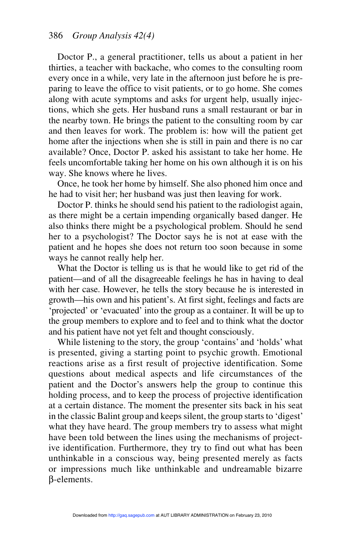Doctor P., a general practitioner, tells us about a patient in her thirties, a teacher with backache, who comes to the consulting room every once in a while, very late in the afternoon just before he is preparing to leave the office to visit patients, or to go home. She comes along with acute symptoms and asks for urgent help, usually injections, which she gets. Her husband runs a small restaurant or bar in the nearby town. He brings the patient to the consulting room by car and then leaves for work. The problem is: how will the patient get home after the injections when she is still in pain and there is no car available? Once, Doctor P. asked his assistant to take her home. He feels uncomfortable taking her home on his own although it is on his way. She knows where he lives.

Once, he took her home by himself. She also phoned him once and he had to visit her; her husband was just then leaving for work.

Doctor P, thinks he should send his patient to the radiologist again. as there might be a certain impending organically based danger. He also thinks there might be a psychological problem. Should he send her to a psychologist? The Doctor says he is not at ease with the patient and he hopes she does not return too soon because in some ways he cannot really help her.

What the Doctor is telling us is that he would like to get rid of the patient—and of all the disagreeable feelings he has in having to deal with her case. However, he tells the story because he is interested in growth—his own and his patient's. At first sight, feelings and facts are 'projected' or 'evacuated' into the group as a container. It will be up to the group members to explore and to feel and to think what the doctor and his patient have not yet felt and thought consciously.

While listening to the story, the group 'contains' and 'holds' what is presented, giving a starting point to psychic growth. Emotional reactions arise as a first result of projective identification. Some questions about medical aspects and life circumstances of the patient and the Doctor's answers help the group to continue this holding process, and to keep the process of projective identification at a certain distance. The moment the presenter sits back in his seat in the classic Balint group and keeps silent, the group starts to 'digest' what they have heard. The group members try to assess what might have been told between the lines using the mechanisms of projective identification. Furthermore, they try to find out what has been unthinkable in a conscious way, being presented merely as facts or impressions much like unthinkable and undreamable bizarre β-elements.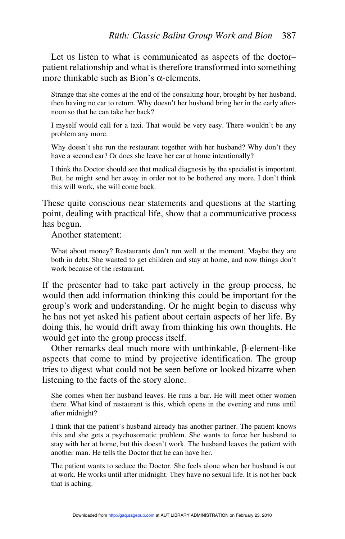Let us listen to what is communicated as aspects of the doctor– patient relationship and what is therefore transformed into something more thinkable such as Bion's α-elements.

Strange that she comes at the end of the consulting hour, brought by her husband, then having no car to return. Why doesn't her husband bring her in the early afternoon so that he can take her back?

I myself would call for a taxi. That would be very easy. There wouldn't be any problem any more.

Why doesn't she run the restaurant together with her husband? Why don't they have a second car? Or does she leave her car at home intentionally?

I think the Doctor should see that medical diagnosis by the specialist is important. But, he might send her away in order not to be bothered any more. I don't think this will work, she will come back.

These quite conscious near statements and questions at the starting point, dealing with practical life, show that a communicative process has begun.

Another statement:

What about money? Restaurants don't run well at the moment. Maybe they are both in debt. She wanted to get children and stay at home, and now things don't work because of the restaurant.

If the presenter had to take part actively in the group process, he would then add information thinking this could be important for the group's work and understanding. Or he might begin to discuss why he has not yet asked his patient about certain aspects of her life. By doing this, he would drift away from thinking his own thoughts. He would get into the group process itself.

Other remarks deal much more with unthinkable, β-element-like aspects that come to mind by projective identification. The group tries to digest what could not be seen before or looked bizarre when listening to the facts of the story alone.

She comes when her husband leaves. He runs a bar. He will meet other women there. What kind of restaurant is this, which opens in the evening and runs until after midnight?

I think that the patient's husband already has another partner. The patient knows this and she gets a psychosomatic problem. She wants to force her husband to stay with her at home, but this doesn't work. The husband leaves the patient with another man. He tells the Doctor that he can have her.

The patient wants to seduce the Doctor. She feels alone when her husband is out at work. He works until after midnight. They have no sexual life. It is not her back that is aching.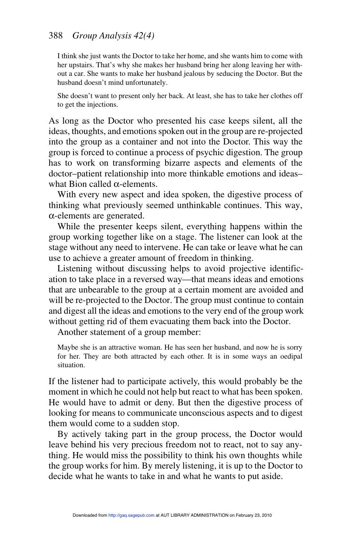I think she just wants the Doctor to take her home, and she wants him to come with her upstairs. That's why she makes her husband bring her along leaving her without a car. She wants to make her husband jealous by seducing the Doctor. But the husband doesn't mind unfortunately.

She doesn't want to present only her back. At least, she has to take her clothes off to get the injections.

As long as the Doctor who presented his case keeps silent, all the ideas, thoughts, and emotions spoken out in the group are re- projected into the group as a container and not into the Doctor. This way the group is forced to continue a process of psychic digestion. The group has to work on transforming bizarre aspects and elements of the doctor–patient relationship into more thinkable emotions and ideas– what Bion called  $\alpha$ -elements.

With every new aspect and idea spoken, the digestive process of thinking what previously seemed unthinkable continues. This way, α-elements are generated.

While the presenter keeps silent, everything happens within the group working together like on a stage. The listener can look at the stage without any need to intervene. He can take or leave what he can use to achieve a greater amount of freedom in thinking.

Listening without discussing helps to avoid projective identification to take place in a reversed way—that means ideas and emotions that are unbearable to the group at a certain moment are avoided and will be re-projected to the Doctor. The group must continue to contain and digest all the ideas and emotions to the very end of the group work without getting rid of them evacuating them back into the Doctor.

Another statement of a group member:

Maybe she is an attractive woman. He has seen her husband, and now he is sorry for her. They are both attracted by each other. It is in some ways an oedipal situation.

If the listener had to participate actively, this would probably be the moment in which he could not help but react to what has been spoken. He would have to admit or deny. But then the digestive process of looking for means to communicate unconscious aspects and to digest them would come to a sudden stop.

By actively taking part in the group process, the Doctor would leave behind his very precious freedom not to react, not to say anything. He would miss the possibility to think his own thoughts while the group works for him. By merely listening, it is up to the Doctor to decide what he wants to take in and what he wants to put aside.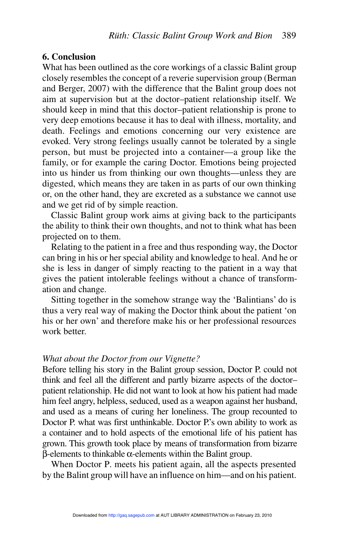#### **6. Conclusion**

What has been outlined as the core workings of a classic Balint group closely resembles the concept of a reverie supervision group (Berman and Berger, 2007) with the difference that the Balint group does not aim at supervision but at the doctor–patient relationship itself. We should keep in mind that this doctor–patient relationship is prone to very deep emotions because it has to deal with illness, mortality, and death. Feelings and emotions concerning our very existence are evoked. Very strong feelings usually cannot be tolerated by a single person, but must be projected into a container—a group like the family, or for example the caring Doctor. Emotions being projected into us hinder us from thinking our own thoughts—unless they are digested, which means they are taken in as parts of our own thinking or, on the other hand, they are excreted as a substance we cannot use and we get rid of by simple reaction.

Classic Balint group work aims at giving back to the participants the ability to think their own thoughts, and not to think what has been projected on to them.

Relating to the patient in a free and thus responding way, the Doctor can bring in his or her special ability and knowledge to heal. And he or she is less in danger of simply reacting to the patient in a way that gives the patient intolerable feelings without a chance of transformation and change.

Sitting together in the somehow strange way the 'Balintians' do is thus a very real way of making the Doctor think about the patient 'on his or her own' and therefore make his or her professional resources work better.

#### *What about the Doctor from our Vignette?*

Before telling his story in the Balint group session, Doctor P. could not think and feel all the different and partly bizarre aspects of the doctor– patient relationship. He did not want to look at how his patient had made him feel angry, helpless, seduced, used as a weapon against her husband, and used as a means of curing her loneliness. The group recounted to Doctor P. what was first unthinkable. Doctor P.'s own ability to work as a container and to hold aspects of the emotional life of his patient has grown. This growth took place by means of transformation from bizarre β-elements to thinkable α-elements within the Balint group.

When Doctor P. meets his patient again, all the aspects presented by the Balint group will have an influence on him—and on his patient.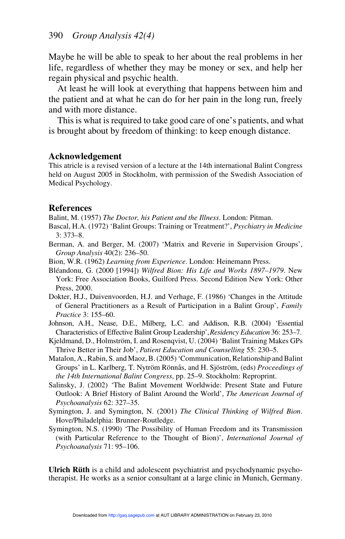Maybe he will be able to speak to her about the real problems in her life, regardless of whether they may be money or sex, and help her regain physical and psychic health.

At least he will look at everything that happens between him and the patient and at what he can do for her pain in the long run, freely and with more distance.

This is what is required to take good care of one's patients, and what is brought about by freedom of thinking: to keep enough distance.

#### **Acknowledgement**

This atricle is a revised version of a lecture at the 14th international Balint Congress held on August 2005 in Stockholm, with permission of the Swedish Association of Medical Psychology.

#### **References**

Balint, M. (1957) *The Doctor, his Patient and the Illness*. London: Pitman.

- Bascal, H.A. (1972) 'Balint Groups: Training or Treatment?', *Psychiatry in Medicine* 3: 373–8.
- Berman, A. and Berger, M. (2007) 'Matrix and Reverie in Supervision Groups', *Group Analysis* 40(2): 236–50.
- Bion, W.R. (1962) *Learning from Experience*. London: Heinemann Press.
- Bléandonu, G. (2000 [1994]) *Wilfred Bion: His Life and Works 1897–1979*. New York: Free Association Books, Guilford Press. Second Edition New York: Other Press, 2000.
- Dokter, H.J., Duivenvoorden, H.J. and Verhage, F. (1986) 'Changes in the Attitude of General Practitioners as a Result of Participation in a Balint Group', *Family Practice* 3: 155–60.
- Johnson, A.H., Nease, D.E., Milberg, L.C. and Addison, R.B. (2004) 'Essential Characteristics of Effective Balint Group Leadership', *Residency Education* 36: 253–7.
- Kjeldmand, D., Holmström, I. and Rosenqvist, U. (2004) 'Balint Training Makes GPs Thrive Better in Their Job', *Patient Education and Counselling* 55: 230–5.
- Matalon, A., Rabin, S. and Maoz, B. (2005) 'Communication, Relationship and Balint Groups' in L. Karlberg, T. Nytröm Rönnås, and H. Sjöström, (eds) *Proceedings of the 14th International Balint Congress*, pp. 25–9. Stockholm: Reproprint.
- Salinsky, J. (2002) 'The Balint Movement Worldwide: Present State and Future Outlook: A Brief History of Balint Around the World', *The American Journal of Psychoanalysis* 62: 327–35.
- Symington, J. and Symington, N. (2001) *The Clinical Thinking of Wilfred Bion*. Hove/Philadelphia: Brunner-Routledge.
- Symington, N.S. (1990) 'The Possibility of Human Freedom and its Transmission (with Particular Reference to the Thought of Bion)', *International Journal of Psychoanalysis* 71: 95–106.

**Ulrich Rüth** is a child and adolescent psychiatrist and psychodynamic psychotherapist. He works as a senior consultant at a large clinic in Munich, Germany.